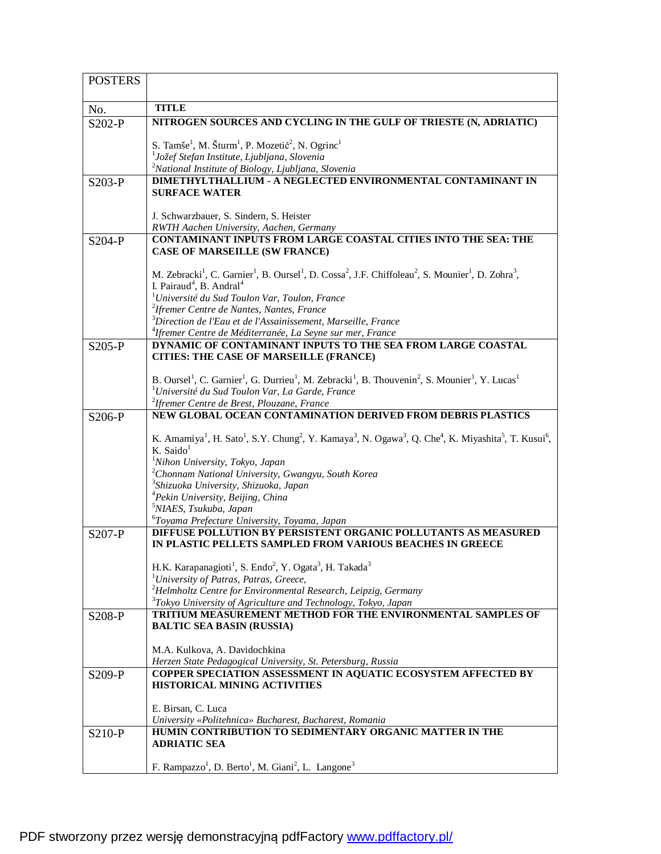| <b>POSTERS</b> |                                                                                                                                                                                                       |
|----------------|-------------------------------------------------------------------------------------------------------------------------------------------------------------------------------------------------------|
|                |                                                                                                                                                                                                       |
| No.            | <b>TITLE</b>                                                                                                                                                                                          |
| S202-P         | NITROGEN SOURCES AND CYCLING IN THE GULF OF TRIESTE (N, ADRIATIC)                                                                                                                                     |
|                | S. Tamše <sup>1</sup> , M. Šturm <sup>1</sup> , P. Mozetič <sup>2</sup> , N. Ogrinc <sup>1</sup>                                                                                                      |
|                | <sup>1</sup> Jožef Stefan Institute, Ljubljana, Slovenia                                                                                                                                              |
|                | <sup>2</sup> National Institute of Biology, Ljubljana, Slovenia                                                                                                                                       |
| $S203-P$       | <b>DIMETHYLTHALLIUM - A NEGLECTED ENVIRONMENTAL CONTAMINANT IN</b>                                                                                                                                    |
|                | <b>SURFACE WATER</b>                                                                                                                                                                                  |
|                | J. Schwarzbauer, S. Sindern, S. Heister                                                                                                                                                               |
|                | RWTH Aachen University, Aachen, Germany                                                                                                                                                               |
| $S204-P$       | CONTAMINANT INPUTS FROM LARGE COASTAL CITIES INTO THE SEA: THE                                                                                                                                        |
|                | <b>CASE OF MARSEILLE (SW FRANCE)</b>                                                                                                                                                                  |
|                | M. Zebracki <sup>1</sup> , C. Garnier <sup>1</sup> , B. Oursel <sup>1</sup> , D. Cossa <sup>2</sup> , J.F. Chiffoleau <sup>2</sup> , S. Mounier <sup>1</sup> , D. Zohra <sup>3</sup> ,                |
|                | I. Pairaud <sup>4</sup> , B. Andral <sup>4</sup>                                                                                                                                                      |
|                | <sup>1</sup> Université du Sud Toulon Var, Toulon, France                                                                                                                                             |
|                | <sup>2</sup> Ifremer Centre de Nantes, Nantes, France                                                                                                                                                 |
|                | <sup>3</sup> Direction de l'Eau et de l'Assainissement, Marseille, France<br><sup>4</sup> Ifremer Centre de Méditerranée, La Seyne sur mer, France                                                    |
| $S205-P$       | DYNAMIC OF CONTAMINANT INPUTS TO THE SEA FROM LARGE COASTAL                                                                                                                                           |
|                | <b>CITIES: THE CASE OF MARSEILLE (FRANCE)</b>                                                                                                                                                         |
|                |                                                                                                                                                                                                       |
|                | B. Oursel <sup>1</sup> , C. Garnier <sup>1</sup> , G. Durrieu <sup>1</sup> , M. Zebracki <sup>1</sup> , B. Thouvenin <sup>2</sup> , S. Mounier <sup>1</sup> , Y. Lucas <sup>1</sup>                   |
|                | <sup>1</sup> Université du Sud Toulon Var, La Garde, France<br><sup>2</sup> Ifremer Centre de Brest, Plouzane, France                                                                                 |
| S206-P         | NEW GLOBAL OCEAN CONTAMINATION DERIVED FROM DEBRIS PLASTICS                                                                                                                                           |
|                |                                                                                                                                                                                                       |
|                | K. Amamiya <sup>1</sup> , H. Sato <sup>1</sup> , S.Y. Chung <sup>2</sup> , Y. Kamaya <sup>3</sup> , N. Ogawa <sup>3</sup> , Q. Che <sup>4</sup> , K. Miyashita <sup>5</sup> , T. Kusui <sup>6</sup> , |
|                | K. Saido<br><sup>1</sup> Nihon University, Tokyo, Japan                                                                                                                                               |
|                | <sup>2</sup> Chonnam National University, Gwangyu, South Korea                                                                                                                                        |
|                | <sup>3</sup> Shizuoka University, Shizuoka, Japan                                                                                                                                                     |
|                | <sup>4</sup> Pekin University, Beijing, China                                                                                                                                                         |
|                | <sup>5</sup> NIAES, Tsukuba, Japan                                                                                                                                                                    |
| $S207-P$       | <sup>6</sup> Toyama Prefecture University, Toyama, Japan<br>DIFFUSE POLLUTION BY PERSISTENT ORGANIC POLLUTANTS AS MEASURED                                                                            |
|                | IN PLASTIC PELLETS SAMPLED FROM VARIOUS BEACHES IN GREECE                                                                                                                                             |
|                |                                                                                                                                                                                                       |
|                | H.K. Karapanagioti <sup>1</sup> , S. Endo <sup>2</sup> , Y. Ogata <sup>3</sup> , H. Takada <sup>3</sup><br><sup>1</sup> University of Patras, Patras, Greece,                                         |
|                | $2$ Helmholtz Centre for Environmental Research, Leipzig, Germany                                                                                                                                     |
|                | <sup>3</sup> Tokyo University of Agriculture and Technology, Tokyo, Japan                                                                                                                             |
| S208-P         | TRITIUM MEASUREMENT METHOD FOR THE ENVIRONMENTAL SAMPLES OF                                                                                                                                           |
|                | <b>BALTIC SEA BASIN (RUSSIA)</b>                                                                                                                                                                      |
|                | M.A. Kulkova, A. Davidochkina                                                                                                                                                                         |
|                | Herzen State Pedagogical University, St. Petersburg, Russia                                                                                                                                           |
| $S209-P$       | COPPER SPECIATION ASSESSMENT IN AQUATIC ECOSYSTEM AFFECTED BY                                                                                                                                         |
|                | <b>HISTORICAL MINING ACTIVITIES</b>                                                                                                                                                                   |
|                |                                                                                                                                                                                                       |
|                | E. Birsan, C. Luca<br>University «Politehnica» Bucharest, Bucharest, Romania                                                                                                                          |
| S210-P         | HUMIN CONTRIBUTION TO SEDIMENTARY ORGANIC MATTER IN THE                                                                                                                                               |
|                | <b>ADRIATIC SEA</b>                                                                                                                                                                                   |
|                |                                                                                                                                                                                                       |
|                | F. Rampazzo <sup>1</sup> , D. Berto <sup>1</sup> , M. Giani <sup>2</sup> , L. Langone <sup>3</sup>                                                                                                    |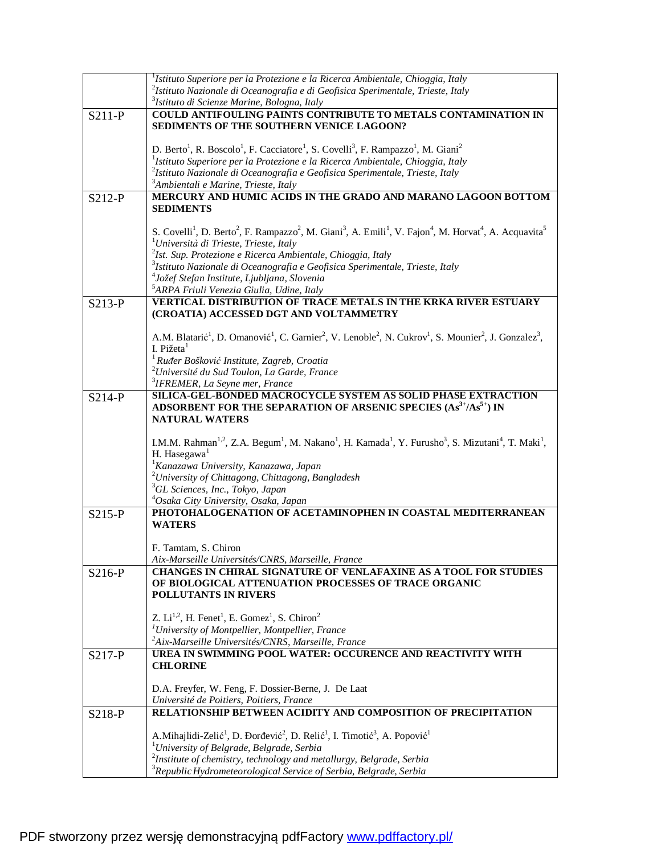|          | ${}^{1}$ Istituto Superiore per la Protezione e la Ricerca Ambientale, Chioggia, Italy                                                                                                                  |
|----------|---------------------------------------------------------------------------------------------------------------------------------------------------------------------------------------------------------|
|          | $^{2}$ Istituto Nazionale di Oceanografia e di Geofisica Sperimentale, Trieste, Italy                                                                                                                   |
|          | <sup>3</sup> Istituto di Scienze Marine, Bologna, Italy                                                                                                                                                 |
| $S211-P$ | COULD ANTIFOULING PAINTS CONTRIBUTE TO METALS CONTAMINATION IN                                                                                                                                          |
|          | SEDIMENTS OF THE SOUTHERN VENICE LAGOON?                                                                                                                                                                |
|          |                                                                                                                                                                                                         |
|          | D. Berto <sup>1</sup> , R. Boscolo <sup>1</sup> , F. Cacciatore <sup>1</sup> , S. Covelli <sup>3</sup> , F. Rampazzo <sup>1</sup> , M. Giani <sup>2</sup>                                               |
|          | ${}^{1}$ Istituto Superiore per la Protezione e la Ricerca Ambientale, Chioggia, Italy                                                                                                                  |
|          |                                                                                                                                                                                                         |
|          | $^{2}$ Istituto Nazionale di Oceanografia e Geofisica Sperimentale, Trieste, Italy                                                                                                                      |
|          | <sup>3</sup> Ambientali e Marine, Trieste, Italy                                                                                                                                                        |
| $S212-P$ | <b>MERCURY AND HUMIC ACIDS IN THE GRADO AND MARANO LAGOON BOTTOM</b>                                                                                                                                    |
|          | <b>SEDIMENTS</b>                                                                                                                                                                                        |
|          |                                                                                                                                                                                                         |
|          | S. Covelli <sup>1</sup> , D. Berto <sup>2</sup> , F. Rampazzo <sup>2</sup> , M. Giani <sup>3</sup> , A. Emili <sup>1</sup> , V. Fajon <sup>4</sup> , M. Horvat <sup>4</sup> , A. Acquavita <sup>5</sup> |
|          | <sup>1</sup> Università di Trieste, Trieste, Italy                                                                                                                                                      |
|          | $2$ Ist. Sup. Protezione e Ricerca Ambientale, Chioggia, Italy                                                                                                                                          |
|          | $3$ Istituto Nazionale di Oceanografia e Geofisica Sperimentale, Trieste, Italy                                                                                                                         |
|          | <sup>4</sup> Jožef Stefan Institute, Ljubljana, Slovenia                                                                                                                                                |
|          | <sup>5</sup> ARPA Friuli Venezia Giulia, Udine, Italy                                                                                                                                                   |
| S213-P   | <b>VERTICAL DISTRIBUTION OF TRACE METALS IN THE KRKA RIVER ESTUARY</b>                                                                                                                                  |
|          | (CROATIA) ACCESSED DGT AND VOLTAMMETRY                                                                                                                                                                  |
|          |                                                                                                                                                                                                         |
|          | A.M. Blatarić <sup>1</sup> , D. Omanović <sup>1</sup> , C. Garnier <sup>2</sup> , V. Lenoble <sup>2</sup> , N. Cukrov <sup>1</sup> , S. Mounier <sup>2</sup> , J. Gonzalez <sup>3</sup> ,               |
|          | I. Pižeta <sup>1</sup>                                                                                                                                                                                  |
|          | $1$ Ruđer Bošković Institute, Zagreb, Croatia                                                                                                                                                           |
|          | <sup>2</sup> Université du Sud Toulon, La Garde, France                                                                                                                                                 |
|          | <sup>3</sup> IFREMER, La Seyne mer, France                                                                                                                                                              |
|          | SILICA-GEL-BONDED MACROCYCLE SYSTEM AS SOLID PHASE EXTRACTION                                                                                                                                           |
| $S214-P$ | ADSORBENT FOR THE SEPARATION OF ARSENIC SPECIES (As <sup>3+</sup> /As <sup>5+</sup> ) IN                                                                                                                |
|          | <b>NATURAL WATERS</b>                                                                                                                                                                                   |
|          |                                                                                                                                                                                                         |
|          | I.M.M. Rahman <sup>1,2</sup> , Z.A. Begum <sup>1</sup> , M. Nakano <sup>1</sup> , H. Kamada <sup>1</sup> , Y. Furusho <sup>3</sup> , S. Mizutani <sup>4</sup> , T. Maki <sup>1</sup> ,                  |
|          | H. Hasegawa $1$                                                                                                                                                                                         |
|          |                                                                                                                                                                                                         |
|          | <sup>1</sup> Kanazawa University, Kanazawa, Japan                                                                                                                                                       |
|          | <sup>2</sup> University of Chittagong, Chittagong, Bangladesh                                                                                                                                           |
|          | <sup>3</sup> GL Sciences, Inc., Tokyo, Japan                                                                                                                                                            |
|          | <sup>4</sup> Osaka City University, Osaka, Japan                                                                                                                                                        |
| $S215-P$ | PHOTOHALOGENATION OF ACETAMINOPHEN IN COASTAL MEDITERRANEAN                                                                                                                                             |
|          | <b>WATERS</b>                                                                                                                                                                                           |
|          |                                                                                                                                                                                                         |
|          | F. Tamtam, S. Chiron                                                                                                                                                                                    |
|          | Aix-Marseille Universités/CNRS, Marseille, France                                                                                                                                                       |
| S216-P   | CHANGES IN CHIRAL SIGNATURE OF VENLAFAXINE AS A TOOL FOR STUDIES                                                                                                                                        |
|          | OF BIOLOGICAL ATTENUATION PROCESSES OF TRACE ORGANIC                                                                                                                                                    |
|          | <b>POLLUTANTS IN RIVERS</b>                                                                                                                                                                             |
|          |                                                                                                                                                                                                         |
|          | Z. Li <sup>1,2</sup> , H. Fenet <sup>1</sup> , E. Gomez <sup>1</sup> , S. Chiron <sup>2</sup>                                                                                                           |
|          | <sup>1</sup> University of Montpellier, Montpellier, France                                                                                                                                             |
|          | <sup>2</sup> Aix-Marseille Universités/CNRS, Marseille, France                                                                                                                                          |
| S217-P   | UREA IN SWIMMING POOL WATER: OCCURENCE AND REACTIVITY WITH                                                                                                                                              |
|          | <b>CHLORINE</b>                                                                                                                                                                                         |
|          |                                                                                                                                                                                                         |
|          | D.A. Freyfer, W. Feng, F. Dossier-Berne, J. De Laat                                                                                                                                                     |
|          | Université de Poitiers, Poitiers, France                                                                                                                                                                |
| S218-P   | RELATIONSHIP BETWEEN ACIDITY AND COMPOSITION OF PRECIPITATION                                                                                                                                           |
|          |                                                                                                                                                                                                         |
|          | A.Mihajlidi-Zelić <sup>1</sup> , D. Đorđević <sup>2</sup> , D. Relić <sup>1</sup> , I. Timotić <sup>3</sup> , A. Popović <sup>1</sup>                                                                   |
|          | <sup>1</sup> University of Belgrade, Belgrade, Serbia                                                                                                                                                   |
|          | $2$ Institute of chemistry, technology and metallurgy, Belgrade, Serbia                                                                                                                                 |
|          | <sup>3</sup> Republic Hydrometeorological Service of Serbia, Belgrade, Serbia                                                                                                                           |
|          |                                                                                                                                                                                                         |